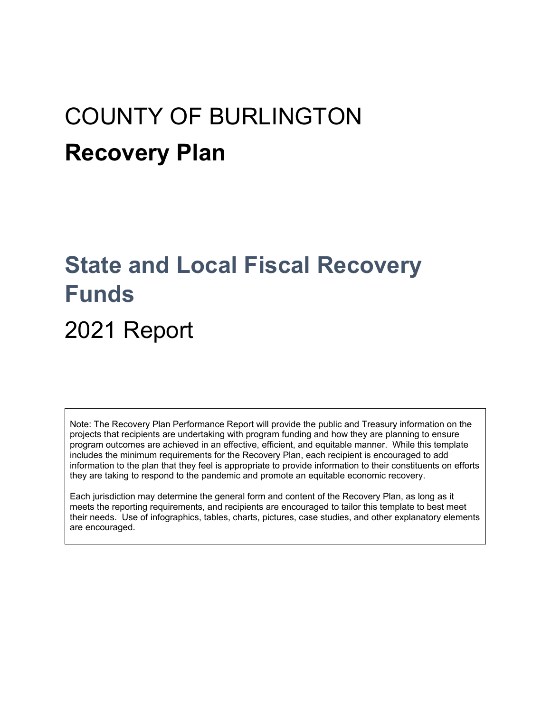# COUNTY OF BURLINGTON **Recovery Plan**

## **State and Local Fiscal Recovery Funds**

## 2021 Report

Note: The Recovery Plan Performance Report will provide the public and Treasury information on the projects that recipients are undertaking with program funding and how they are planning to ensure program outcomes are achieved in an effective, efficient, and equitable manner. While this template includes the minimum requirements for the Recovery Plan, each recipient is encouraged to add information to the plan that they feel is appropriate to provide information to their constituents on efforts they are taking to respond to the pandemic and promote an equitable economic recovery.

Each jurisdiction may determine the general form and content of the Recovery Plan, as long as it meets the reporting requirements, and recipients are encouraged to tailor this template to best meet their needs. Use of infographics, tables, charts, pictures, case studies, and other explanatory elements are encouraged.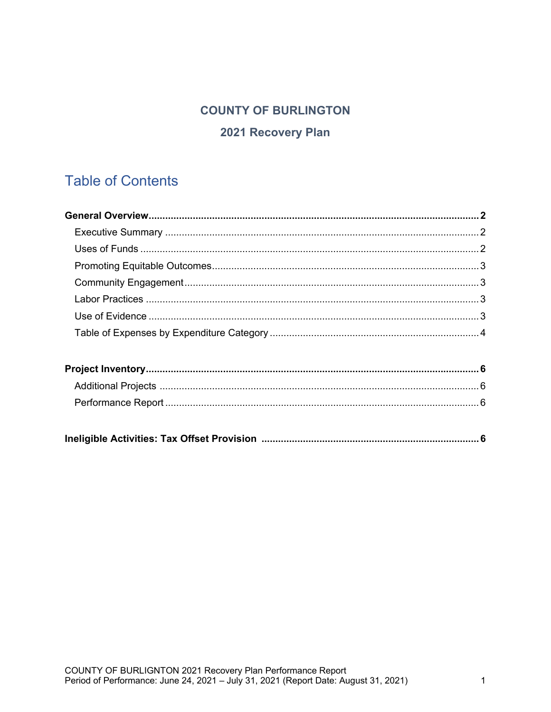### **COUNTY OF BURLINGTON**

#### 2021 Recovery Plan

### **Table of Contents**

|--|--|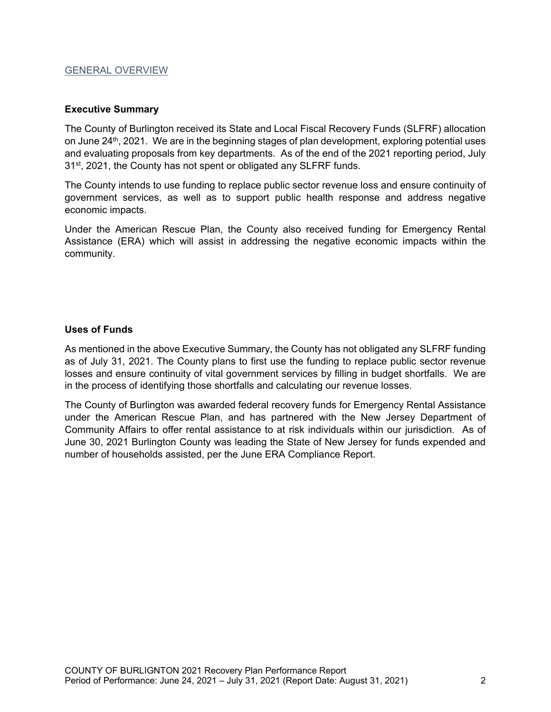#### GENERAL OVERVIEW

#### **Executive Summary**

The County of Burlington received its State and Local Fiscal Recovery Funds (SLFRF) allocation on June 24<sup>th</sup>, 2021. We are in the beginning stages of plan development, exploring potential uses and evaluating proposals from key departments. As of the end of the 2021 reporting period, July 31<sup>st</sup>, 2021, the County has not spent or obligated any SLFRF funds.

The County intends to use funding to replace public sector revenue loss and ensure continuity of government services, as well as to support public health response and address negative economic impacts.

Under the American Rescue Plan, the County also received funding for Emergency Rental Assistance (ERA) which will assist in addressing the negative economic impacts within the community.

#### **Uses of Funds**

As mentioned in the above Executive Summary, the County has not obligated any SLFRF funding as of July 31, 2021. The County plans to first use the funding to replace public sector revenue losses and ensure continuity of vital government services by filling in budget shortfalls. We are in the process of identifying those shortfalls and calculating our revenue losses.

The County of Burlington was awarded federal recovery funds for Emergency Rental Assistance under the American Rescue Plan, and has partnered with the New Jersey Department of Community Affairs to offer rental assistance to at risk individuals within our jurisdiction. As of June 30, 2021 Burlington County was leading the State of New Jersey for funds expended and number of households assisted, per the June ERA Compliance Report.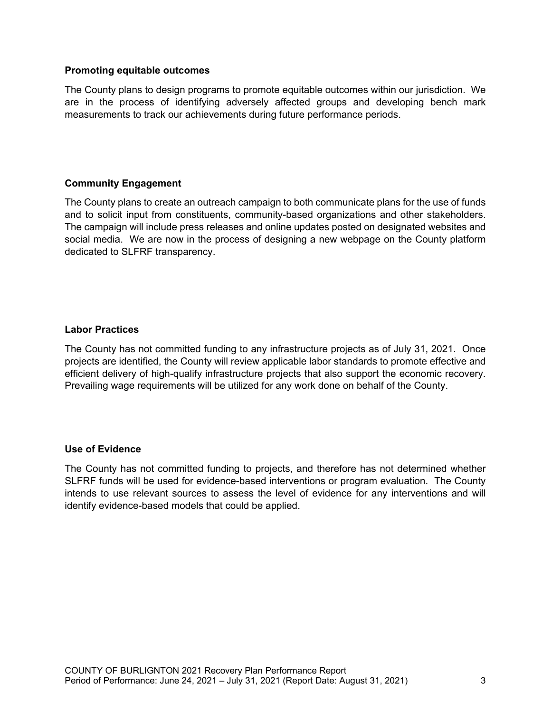#### **Promoting equitable outcomes**

The County plans to design programs to promote equitable outcomes within our jurisdiction. We are in the process of identifying adversely affected groups and developing bench mark measurements to track our achievements during future performance periods.

#### **Community Engagement**

The County plans to create an outreach campaign to both communicate plans for the use of funds and to solicit input from constituents, community-based organizations and other stakeholders. The campaign will include press releases and online updates posted on designated websites and social media. We are now in the process of designing a new webpage on the County platform dedicated to SLFRF transparency.

#### **Labor Practices**

The County has not committed funding to any infrastructure projects as of July 31, 2021. Once projects are identified, the County will review applicable labor standards to promote effective and efficient delivery of high-qualify infrastructure projects that also support the economic recovery. Prevailing wage requirements will be utilized for any work done on behalf of the County.

#### **Use of Evidence**

The County has not committed funding to projects, and therefore has not determined whether SLFRF funds will be used for evidence-based interventions or program evaluation. The County intends to use relevant sources to assess the level of evidence for any interventions and will identify evidence-based models that could be applied.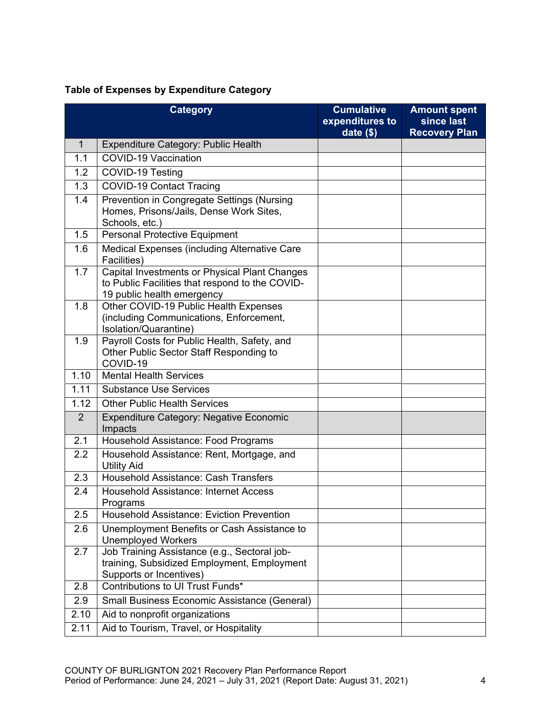#### **Table of Expenses by Expenditure Category**

|                | <b>Category</b>                                                                                                                | <b>Cumulative</b><br>expenditures to<br>date $($)$ | <b>Amount spent</b><br>since last<br><b>Recovery Plan</b> |
|----------------|--------------------------------------------------------------------------------------------------------------------------------|----------------------------------------------------|-----------------------------------------------------------|
| $\mathbf{1}$   | Expenditure Category: Public Health                                                                                            |                                                    |                                                           |
| 1.1            | <b>COVID-19 Vaccination</b>                                                                                                    |                                                    |                                                           |
| 1.2            | COVID-19 Testing                                                                                                               |                                                    |                                                           |
| 1.3            | <b>COVID-19 Contact Tracing</b>                                                                                                |                                                    |                                                           |
| 1.4            | <b>Prevention in Congregate Settings (Nursing</b><br>Homes, Prisons/Jails, Dense Work Sites,<br>Schools, etc.)                 |                                                    |                                                           |
| 1.5            | Personal Protective Equipment                                                                                                  |                                                    |                                                           |
| 1.6            | Medical Expenses (including Alternative Care<br>Facilities)                                                                    |                                                    |                                                           |
| 1.7            | Capital Investments or Physical Plant Changes<br>to Public Facilities that respond to the COVID-<br>19 public health emergency |                                                    |                                                           |
| 1.8            | Other COVID-19 Public Health Expenses<br>(including Communications, Enforcement,<br>Isolation/Quarantine)                      |                                                    |                                                           |
| 1.9            | Payroll Costs for Public Health, Safety, and<br>Other Public Sector Staff Responding to<br>COVID-19                            |                                                    |                                                           |
| 1.10           | <b>Mental Health Services</b>                                                                                                  |                                                    |                                                           |
| 1.11           | <b>Substance Use Services</b>                                                                                                  |                                                    |                                                           |
| 1.12           | <b>Other Public Health Services</b>                                                                                            |                                                    |                                                           |
| $\overline{2}$ | Expenditure Category: Negative Economic<br>Impacts                                                                             |                                                    |                                                           |
| 2.1            | Household Assistance: Food Programs                                                                                            |                                                    |                                                           |
| 2.2            | Household Assistance: Rent, Mortgage, and<br><b>Utility Aid</b>                                                                |                                                    |                                                           |
| 2.3            | Household Assistance: Cash Transfers                                                                                           |                                                    |                                                           |
| 2.4            | <b>Household Assistance: Internet Access</b><br>Programs                                                                       |                                                    |                                                           |
| 2.5            | <b>Household Assistance: Eviction Prevention</b>                                                                               |                                                    |                                                           |
| 2.6            | Unemployment Benefits or Cash Assistance to<br><b>Unemployed Workers</b>                                                       |                                                    |                                                           |
| 2.7            | Job Training Assistance (e.g., Sectoral job-<br>training, Subsidized Employment, Employment<br>Supports or Incentives)         |                                                    |                                                           |
| 2.8            | Contributions to UI Trust Funds*                                                                                               |                                                    |                                                           |
| 2.9            | Small Business Economic Assistance (General)                                                                                   |                                                    |                                                           |
| 2.10           | Aid to nonprofit organizations                                                                                                 |                                                    |                                                           |
| 2.11           | Aid to Tourism, Travel, or Hospitality                                                                                         |                                                    |                                                           |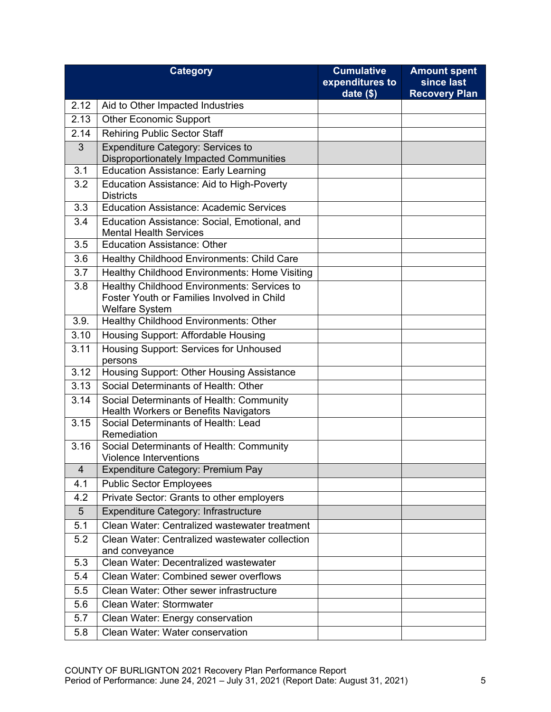|                         | <b>Category</b>                                                                                                    | <b>Cumulative</b><br>expenditures to<br>date $($)$ | <b>Amount spent</b><br>since last<br><b>Recovery Plan</b> |
|-------------------------|--------------------------------------------------------------------------------------------------------------------|----------------------------------------------------|-----------------------------------------------------------|
| 2.12                    | Aid to Other Impacted Industries                                                                                   |                                                    |                                                           |
| 2.13                    | <b>Other Economic Support</b>                                                                                      |                                                    |                                                           |
| 2.14                    | <b>Rehiring Public Sector Staff</b>                                                                                |                                                    |                                                           |
| 3                       | Expenditure Category: Services to                                                                                  |                                                    |                                                           |
|                         | <b>Disproportionately Impacted Communities</b>                                                                     |                                                    |                                                           |
| 3.1                     | <b>Education Assistance: Early Learning</b>                                                                        |                                                    |                                                           |
| 3.2                     | Education Assistance: Aid to High-Poverty<br><b>Districts</b>                                                      |                                                    |                                                           |
| 3.3                     | <b>Education Assistance: Academic Services</b>                                                                     |                                                    |                                                           |
| 3.4                     | Education Assistance: Social, Emotional, and<br><b>Mental Health Services</b>                                      |                                                    |                                                           |
| 3.5                     | <b>Education Assistance: Other</b>                                                                                 |                                                    |                                                           |
| 3.6                     | Healthy Childhood Environments: Child Care                                                                         |                                                    |                                                           |
| 3.7                     | <b>Healthy Childhood Environments: Home Visiting</b>                                                               |                                                    |                                                           |
| 3.8                     | Healthy Childhood Environments: Services to<br>Foster Youth or Families Involved in Child<br><b>Welfare System</b> |                                                    |                                                           |
| 3.9.                    | Healthy Childhood Environments: Other                                                                              |                                                    |                                                           |
| 3.10                    | Housing Support: Affordable Housing                                                                                |                                                    |                                                           |
| 3.11                    | Housing Support: Services for Unhoused<br>persons                                                                  |                                                    |                                                           |
| 3.12                    | Housing Support: Other Housing Assistance                                                                          |                                                    |                                                           |
| 3.13                    | Social Determinants of Health: Other                                                                               |                                                    |                                                           |
| 3.14                    | Social Determinants of Health: Community<br><b>Health Workers or Benefits Navigators</b>                           |                                                    |                                                           |
| 3.15                    | Social Determinants of Health: Lead<br>Remediation                                                                 |                                                    |                                                           |
| 3.16                    | Social Determinants of Health: Community<br><b>Violence Interventions</b>                                          |                                                    |                                                           |
| $\overline{\mathbf{4}}$ | Expenditure Category: Premium Pay                                                                                  |                                                    |                                                           |
| 4.1                     | <b>Public Sector Employees</b>                                                                                     |                                                    |                                                           |
| 4.2                     | Private Sector: Grants to other employers                                                                          |                                                    |                                                           |
| 5                       | Expenditure Category: Infrastructure                                                                               |                                                    |                                                           |
| 5.1                     | Clean Water: Centralized wastewater treatment                                                                      |                                                    |                                                           |
| 5.2                     | Clean Water: Centralized wastewater collection<br>and conveyance                                                   |                                                    |                                                           |
| 5.3                     | Clean Water: Decentralized wastewater                                                                              |                                                    |                                                           |
| 5.4                     | Clean Water: Combined sewer overflows                                                                              |                                                    |                                                           |
| 5.5                     | Clean Water: Other sewer infrastructure                                                                            |                                                    |                                                           |
| 5.6                     | Clean Water: Stormwater                                                                                            |                                                    |                                                           |
| 5.7                     | Clean Water: Energy conservation                                                                                   |                                                    |                                                           |
| 5.8                     | Clean Water: Water conservation                                                                                    |                                                    |                                                           |